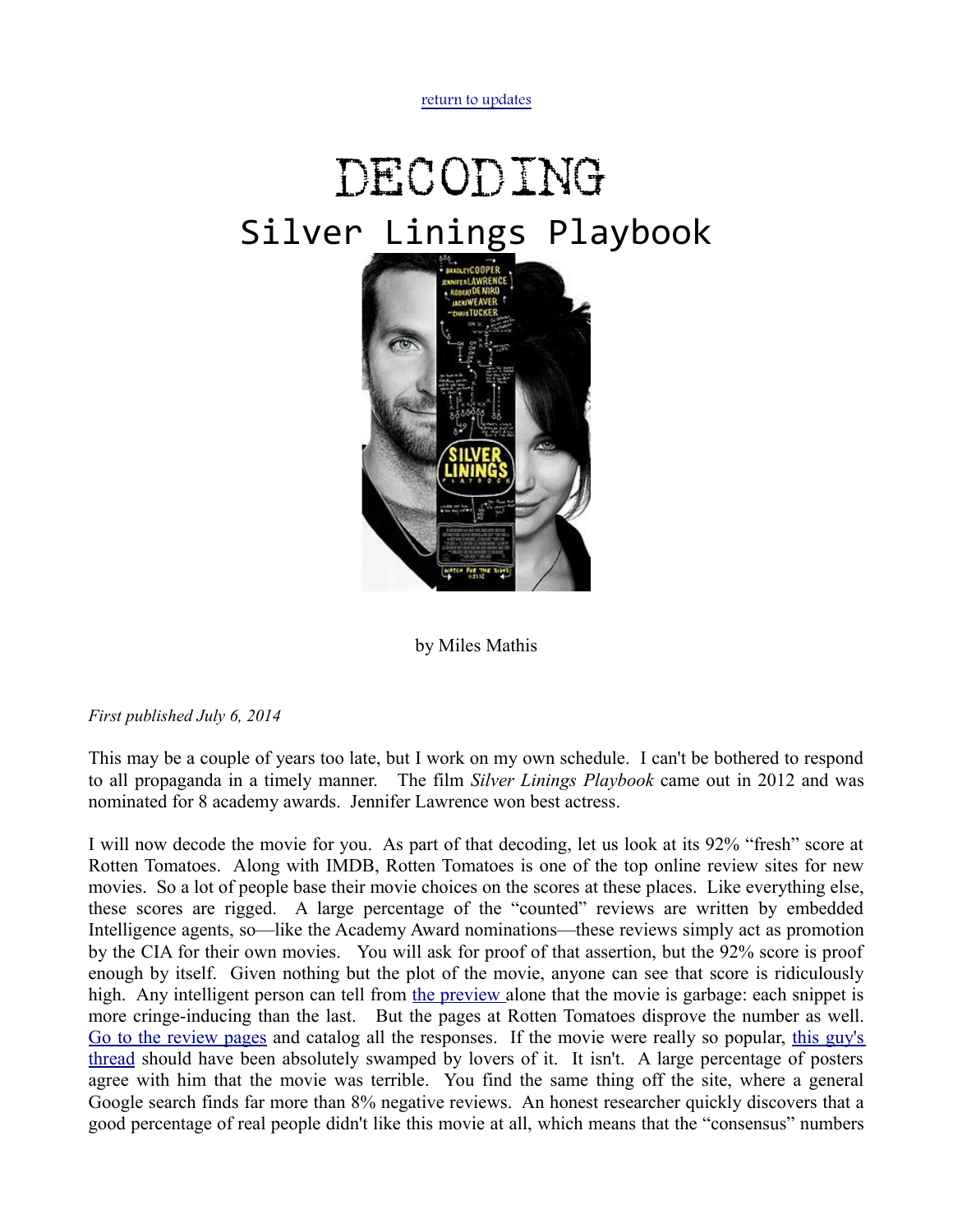[return to updates](http://mileswmathis.com/updates.html)

## DECODING Silver Linings Playbook



by Miles Mathis

## *First published July 6, 2014*

This may be a couple of years too late, but I work on my own schedule. I can't be bothered to respond to all propaganda in a timely manner. The film *Silver Linings Playbook* came out in 2012 and was nominated for 8 academy awards. Jennifer Lawrence won best actress.

I will now decode the movie for you. As part of that decoding, let us look at its 92% "fresh" score at Rotten Tomatoes. Along with IMDB, Rotten Tomatoes is one of the top online review sites for new movies. So a lot of people base their movie choices on the scores at these places. Like everything else, these scores are rigged. A large percentage of the "counted" reviews are written by embedded Intelligence agents, so—like the Academy Award nominations—these reviews simply act as promotion by the CIA for their own movies. You will ask for proof of that assertion, but the 92% score is proof enough by itself. Given nothing but the plot of the movie, anyone can see that score is ridiculously high. Any intelligent person can tell from [the preview a](http://www.youtube.com/watch?v=8ueVHa0mLs8)lone that the movie is garbage: each snippet is more cringe-inducing than the last. But the pages at Rotten Tomatoes disprove the number as well. [Go to the review pages](http://www.rottentomatoes.com/m/silver_linings_playbook/forum/?threadid=328150221) and catalog all the responses. If the movie were really so popular, [this guy's](http://www.rottentomatoes.com/m/silver_linings_playbook/forum/?threadid=328150221) [thread](http://www.rottentomatoes.com/m/silver_linings_playbook/forum/?threadid=328150221) should have been absolutely swamped by lovers of it. It isn't. A large percentage of posters agree with him that the movie was terrible. You find the same thing off the site, where a general Google search finds far more than 8% negative reviews. An honest researcher quickly discovers that a good percentage of real people didn't like this movie at all, which means that the "consensus" numbers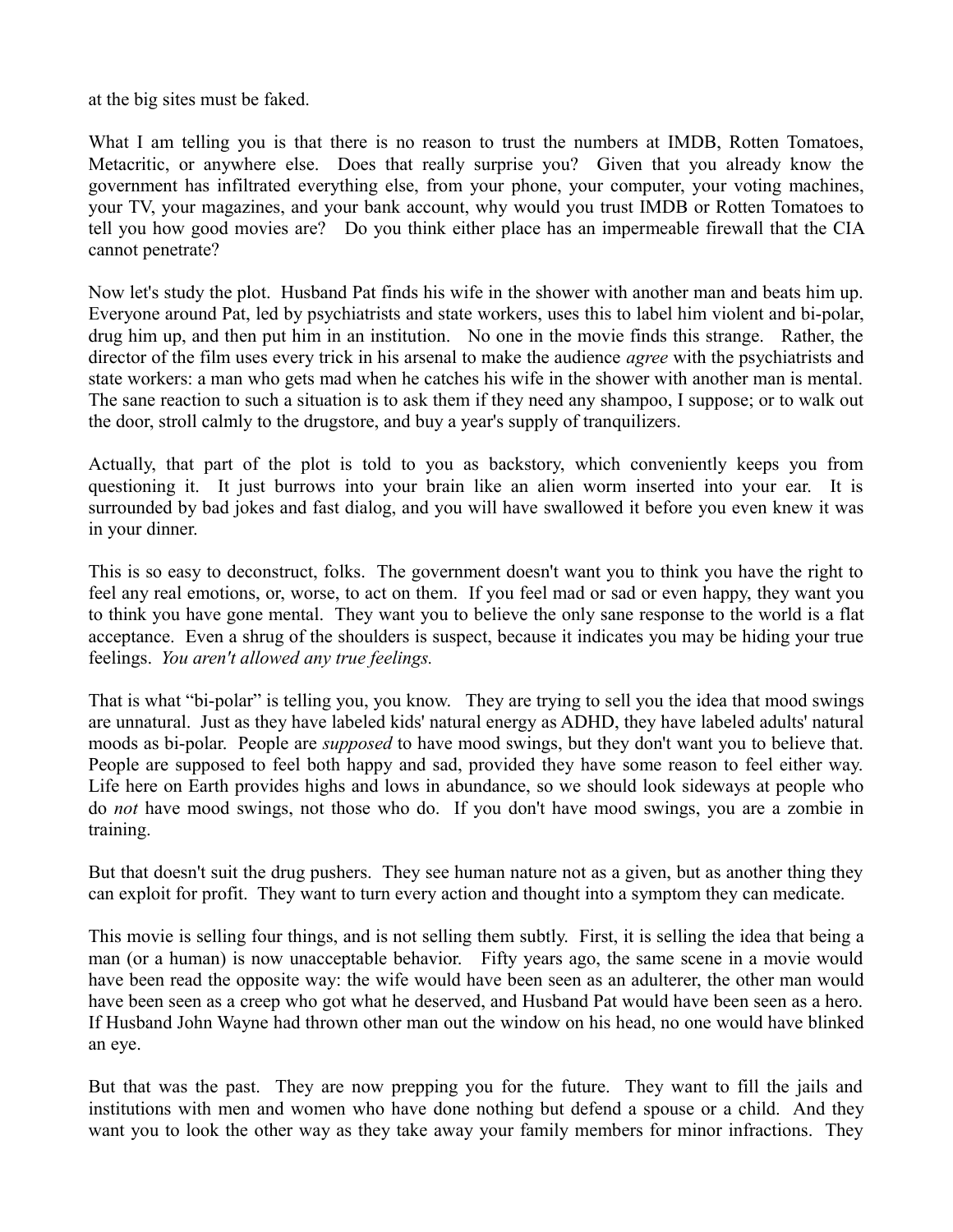at the big sites must be faked.

What I am telling you is that there is no reason to trust the numbers at IMDB, Rotten Tomatoes, Metacritic, or anywhere else. Does that really surprise you? Given that you already know the government has infiltrated everything else, from your phone, your computer, your voting machines, your TV, your magazines, and your bank account, why would you trust IMDB or Rotten Tomatoes to tell you how good movies are? Do you think either place has an impermeable firewall that the CIA cannot penetrate?

Now let's study the plot. Husband Pat finds his wife in the shower with another man and beats him up. Everyone around Pat, led by psychiatrists and state workers, uses this to label him violent and bi-polar, drug him up, and then put him in an institution. No one in the movie finds this strange. Rather, the director of the film uses every trick in his arsenal to make the audience *agree* with the psychiatrists and state workers: a man who gets mad when he catches his wife in the shower with another man is mental. The sane reaction to such a situation is to ask them if they need any shampoo, I suppose; or to walk out the door, stroll calmly to the drugstore, and buy a year's supply of tranquilizers.

Actually, that part of the plot is told to you as backstory, which conveniently keeps you from questioning it. It just burrows into your brain like an alien worm inserted into your ear. It is surrounded by bad jokes and fast dialog, and you will have swallowed it before you even knew it was in your dinner.

This is so easy to deconstruct, folks. The government doesn't want you to think you have the right to feel any real emotions, or, worse, to act on them. If you feel mad or sad or even happy, they want you to think you have gone mental. They want you to believe the only sane response to the world is a flat acceptance. Even a shrug of the shoulders is suspect, because it indicates you may be hiding your true feelings. *You aren't allowed any true feelings.*

That is what "bi-polar" is telling you, you know. They are trying to sell you the idea that mood swings are unnatural. Just as they have labeled kids' natural energy as ADHD, they have labeled adults' natural moods as bi-polar. People are *supposed* to have mood swings, but they don't want you to believe that. People are supposed to feel both happy and sad, provided they have some reason to feel either way. Life here on Earth provides highs and lows in abundance, so we should look sideways at people who do *not* have mood swings, not those who do. If you don't have mood swings, you are a zombie in training.

But that doesn't suit the drug pushers. They see human nature not as a given, but as another thing they can exploit for profit. They want to turn every action and thought into a symptom they can medicate.

This movie is selling four things, and is not selling them subtly. First, it is selling the idea that being a man (or a human) is now unacceptable behavior. Fifty years ago, the same scene in a movie would have been read the opposite way: the wife would have been seen as an adulterer, the other man would have been seen as a creep who got what he deserved, and Husband Pat would have been seen as a hero. If Husband John Wayne had thrown other man out the window on his head, no one would have blinked an eye.

But that was the past. They are now prepping you for the future. They want to fill the jails and institutions with men and women who have done nothing but defend a spouse or a child. And they want you to look the other way as they take away your family members for minor infractions. They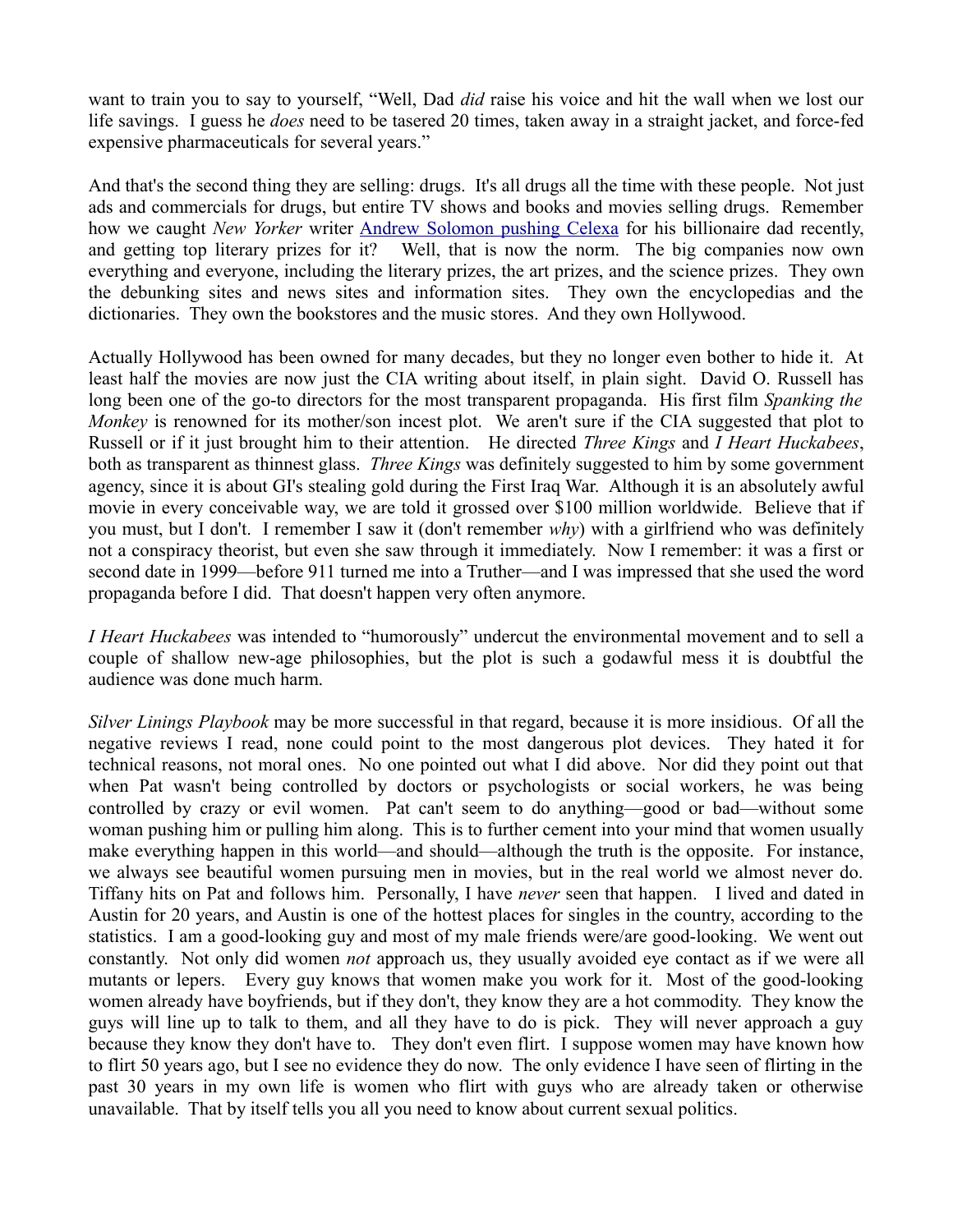want to train you to say to yourself, "Well, Dad *did* raise his voice and hit the wall when we lost our life savings. I guess he *does* need to be tasered 20 times, taken away in a straight jacket, and force-fed expensive pharmaceuticals for several years."

And that's the second thing they are selling: drugs. It's all drugs all the time with these people. Not just ads and commercials for drugs, but entire TV shows and books and movies selling drugs. Remember how we caught *New Yorker* writer [Andrew Solomon pushing Celexa](http://mileswmathis.com/sh7.pdf) for his billionaire dad recently, and getting top literary prizes for it? Well, that is now the norm. The big companies now own everything and everyone, including the literary prizes, the art prizes, and the science prizes. They own the debunking sites and news sites and information sites. They own the encyclopedias and the dictionaries. They own the bookstores and the music stores. And they own Hollywood.

Actually Hollywood has been owned for many decades, but they no longer even bother to hide it. At least half the movies are now just the CIA writing about itself, in plain sight. David O. Russell has long been one of the go-to directors for the most transparent propaganda. His first film *Spanking the Monkey* is renowned for its mother/son incest plot. We aren't sure if the CIA suggested that plot to Russell or if it just brought him to their attention. He directed *Three Kings* and *I Heart Huckabees*, both as transparent as thinnest glass. *Three Kings* was definitely suggested to him by some government agency, since it is about GI's stealing gold during the First Iraq War. Although it is an absolutely awful movie in every conceivable way, we are told it grossed over \$100 million worldwide. Believe that if you must, but I don't. I remember I saw it (don't remember *why*) with a girlfriend who was definitely not a conspiracy theorist, but even she saw through it immediately. Now I remember: it was a first or second date in 1999—before 911 turned me into a Truther—and I was impressed that she used the word propaganda before I did. That doesn't happen very often anymore.

*I Heart Huckabees* was intended to "humorously" undercut the environmental movement and to sell a couple of shallow new-age philosophies, but the plot is such a godawful mess it is doubtful the audience was done much harm.

*Silver Linings Playbook* may be more successful in that regard, because it is more insidious. Of all the negative reviews I read, none could point to the most dangerous plot devices. They hated it for technical reasons, not moral ones. No one pointed out what I did above. Nor did they point out that when Pat wasn't being controlled by doctors or psychologists or social workers, he was being controlled by crazy or evil women. Pat can't seem to do anything—good or bad—without some woman pushing him or pulling him along. This is to further cement into your mind that women usually make everything happen in this world—and should—although the truth is the opposite. For instance, we always see beautiful women pursuing men in movies, but in the real world we almost never do. Tiffany hits on Pat and follows him. Personally, I have *never* seen that happen. I lived and dated in Austin for 20 years, and Austin is one of the hottest places for singles in the country, according to the statistics. I am a good-looking guy and most of my male friends were/are good-looking. We went out constantly. Not only did women *not* approach us, they usually avoided eye contact as if we were all mutants or lepers. Every guy knows that women make you work for it. Most of the good-looking women already have boyfriends, but if they don't, they know they are a hot commodity. They know the guys will line up to talk to them, and all they have to do is pick. They will never approach a guy because they know they don't have to. They don't even flirt. I suppose women may have known how to flirt 50 years ago, but I see no evidence they do now. The only evidence I have seen of flirting in the past 30 years in my own life is women who flirt with guys who are already taken or otherwise unavailable. That by itself tells you all you need to know about current sexual politics.